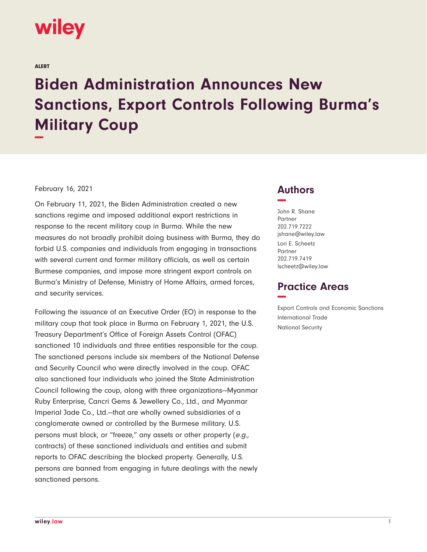

ALERT

## **Biden Administration Announces New Sanctions, Export Controls Following Burma's Military Coup −**

## February 16, 2021

On February 11, 2021, the Biden Administration created a new sanctions regime and imposed additional export restrictions in response to the recent military coup in Burma. While the new measures do not broadly prohibit doing business with Burma, they do forbid U.S. companies and individuals from engaging in transactions with several current and former military officials, as well as certain Burmese companies, and impose more stringent export controls on Burma's Ministry of Defense, Ministry of Home Affairs, armed forces, and security services.

Following the issuance of an Executive Order (EO) in response to the military coup that took place in Burma on February 1, 2021, the U.S. Treasury Department's Office of Foreign Assets Control (OFAC) sanctioned 10 individuals and three entities responsible for the coup. The sanctioned persons include six members of the National Defense and Security Council who were directly involved in the coup. OFAC also sanctioned four individuals who joined the State Administration Council following the coup, along with three organizations—Myanmar Ruby Enterprise, Cancri Gems & Jewellery Co., Ltd., and Myanmar Imperial Jade Co., Ltd.—that are wholly owned subsidiaries of a conglomerate owned or controlled by the Burmese military. U.S. persons must block, or "freeze," any assets or other property (e.g., contracts) of these sanctioned individuals and entities and submit reports to OFAC describing the blocked property. Generally, U.S. persons are banned from engaging in future dealings with the newly sanctioned persons.

## **Authors −**

John R. Shane Partner 202.719.7222 jshane@wiley.law Lori E. Scheetz Partner 202.719.7419 lscheetz@wiley.law

## **Practice Areas −**

Export Controls and Economic Sanctions International Trade National Security